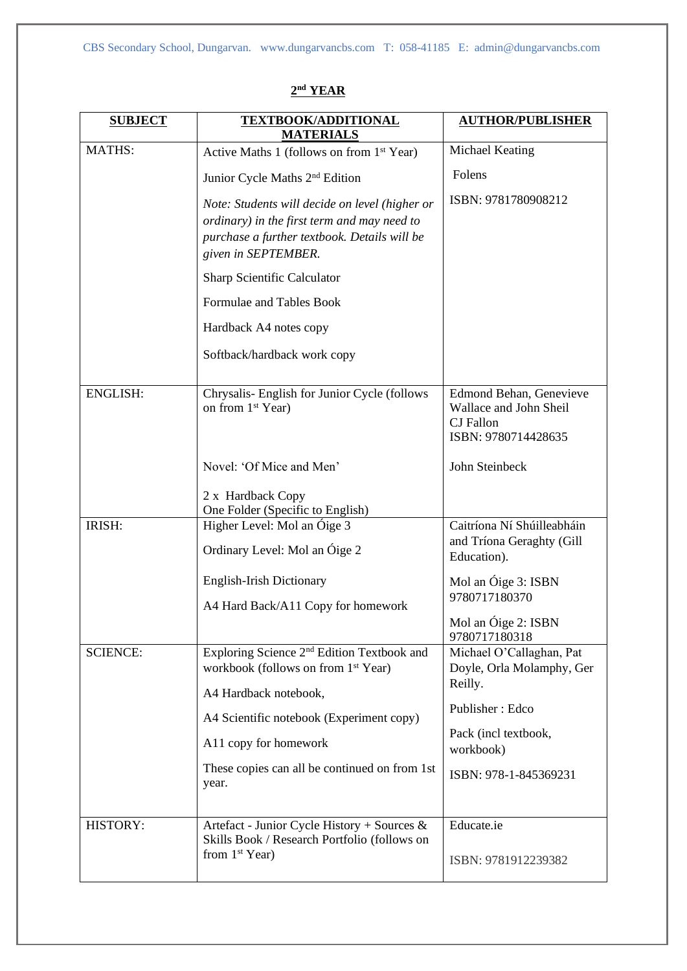| <b>SUBJECT</b>  | <b>TEXTBOOK/ADDITIONAL</b><br><b>MATERIALS</b>                                                                                                                                                                                                                    | <b>AUTHOR/PUBLISHER</b>                                                                                                                           |
|-----------------|-------------------------------------------------------------------------------------------------------------------------------------------------------------------------------------------------------------------------------------------------------------------|---------------------------------------------------------------------------------------------------------------------------------------------------|
| <b>MATHS:</b>   | Active Maths 1 (follows on from 1 <sup>st</sup> Year)                                                                                                                                                                                                             | Michael Keating                                                                                                                                   |
|                 | Junior Cycle Maths 2 <sup>nd</sup> Edition                                                                                                                                                                                                                        | Folens                                                                                                                                            |
|                 | Note: Students will decide on level (higher or<br>ordinary) in the first term and may need to<br>purchase a further textbook. Details will be<br>given in SEPTEMBER.                                                                                              | ISBN: 9781780908212                                                                                                                               |
|                 | Sharp Scientific Calculator                                                                                                                                                                                                                                       |                                                                                                                                                   |
|                 | Formulae and Tables Book                                                                                                                                                                                                                                          |                                                                                                                                                   |
|                 | Hardback A4 notes copy                                                                                                                                                                                                                                            |                                                                                                                                                   |
|                 | Softback/hardback work copy                                                                                                                                                                                                                                       |                                                                                                                                                   |
| <b>ENGLISH:</b> | Chrysalis- English for Junior Cycle (follows<br>on from 1 <sup>st</sup> Year)                                                                                                                                                                                     | Edmond Behan, Genevieve<br>Wallace and John Sheil<br><b>CJ</b> Fallon<br>ISBN: 9780714428635                                                      |
|                 | Novel: 'Of Mice and Men'                                                                                                                                                                                                                                          | John Steinbeck                                                                                                                                    |
|                 | 2 x Hardback Copy<br>One Folder (Specific to English)                                                                                                                                                                                                             |                                                                                                                                                   |
| IRISH:          | Higher Level: Mol an Óige 3<br>Ordinary Level: Mol an Óige 2                                                                                                                                                                                                      | Caitríona Ní Shúilleabháin<br>and Tríona Geraghty (Gill<br>Education).                                                                            |
|                 | <b>English-Irish Dictionary</b>                                                                                                                                                                                                                                   | Mol an Óige 3: ISBN                                                                                                                               |
|                 | A4 Hard Back/A11 Copy for homework                                                                                                                                                                                                                                | 9780717180370<br>Mol an Óige 2: ISBN<br>9780717180318                                                                                             |
| <b>SCIENCE:</b> | Exploring Science 2 <sup>nd</sup> Edition Textbook and<br>workbook (follows on from 1 <sup>st</sup> Year)<br>A4 Hardback notebook,<br>A4 Scientific notebook (Experiment copy)<br>A11 copy for homework<br>These copies can all be continued on from 1st<br>year. | Michael O'Callaghan, Pat<br>Doyle, Orla Molamphy, Ger<br>Reilly.<br>Publisher: Edco<br>Pack (incl textbook,<br>workbook)<br>ISBN: 978-1-845369231 |
| <b>HISTORY:</b> | Artefact - Junior Cycle History + Sources &<br>Skills Book / Research Portfolio (follows on<br>from $1st Year$ )                                                                                                                                                  | Educate.ie<br>ISBN: 9781912239382                                                                                                                 |
|                 |                                                                                                                                                                                                                                                                   |                                                                                                                                                   |

## **2 nd YEAR**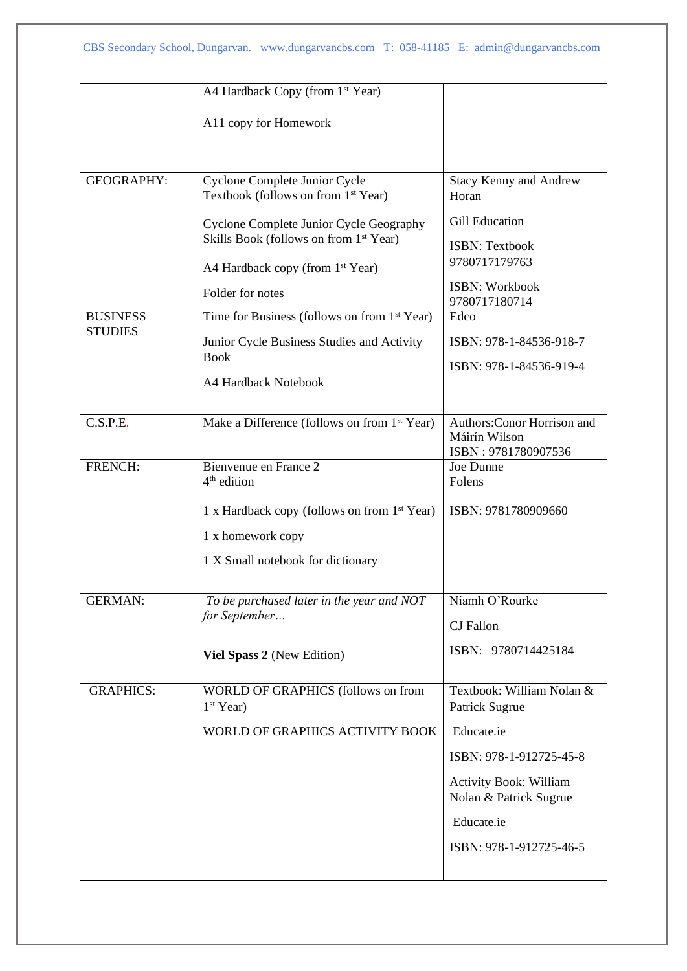|                                   | A4 Hardback Copy (from 1 <sup>st</sup> Year)                                                  |                                                  |
|-----------------------------------|-----------------------------------------------------------------------------------------------|--------------------------------------------------|
|                                   | A11 copy for Homework                                                                         |                                                  |
|                                   |                                                                                               |                                                  |
| <b>GEOGRAPHY:</b>                 | Cyclone Complete Junior Cycle<br>Textbook (follows on from 1 <sup>st</sup> Year)              | <b>Stacy Kenny and Andrew</b><br>Horan           |
|                                   | Cyclone Complete Junior Cycle Geography<br>Skills Book (follows on from 1 <sup>st</sup> Year) | <b>Gill Education</b>                            |
|                                   | A4 Hardback copy (from 1 <sup>st</sup> Year)                                                  | <b>ISBN: Textbook</b><br>9780717179763           |
|                                   | Folder for notes                                                                              | <b>ISBN: Workbook</b><br>9780717180714           |
| <b>BUSINESS</b><br><b>STUDIES</b> | Time for Business (follows on from 1 <sup>st</sup> Year)                                      | Edco                                             |
|                                   | Junior Cycle Business Studies and Activity                                                    | ISBN: 978-1-84536-918-7                          |
|                                   | <b>Book</b>                                                                                   | ISBN: 978-1-84536-919-4                          |
|                                   | A4 Hardback Notebook                                                                          |                                                  |
| C.S.P.E.                          | Make a Difference (follows on from 1 <sup>st</sup> Year)                                      | Authors: Conor Horrison and<br>Máirín Wilson     |
| FRENCH:                           | Bienvenue en France 2                                                                         | ISBN: 9781780907536<br>Joe Dunne                 |
|                                   | 4 <sup>th</sup> edition                                                                       | Folens                                           |
|                                   | 1 x Hardback copy (follows on from 1 <sup>st</sup> Year)                                      | ISBN: 9781780909660                              |
|                                   | 1 x homework copy                                                                             |                                                  |
|                                   | 1 X Small notebook for dictionary                                                             |                                                  |
| <b>GERMAN:</b>                    | To be purchased later in the year and NOT                                                     | Niamh O'Rourke                                   |
|                                   | <u>for September</u>                                                                          | <b>CJ</b> Fallon                                 |
|                                   | Viel Spass 2 (New Edition)                                                                    | ISBN: 9780714425184                              |
| <b>GRAPHICS:</b>                  | WORLD OF GRAPHICS (follows on from<br>$1st Year$ )                                            | Textbook: William Nolan &<br>Patrick Sugrue      |
|                                   | WORLD OF GRAPHICS ACTIVITY BOOK                                                               | Educate.ie                                       |
|                                   |                                                                                               | ISBN: 978-1-912725-45-8                          |
|                                   |                                                                                               | Activity Book: William<br>Nolan & Patrick Sugrue |
|                                   |                                                                                               | Educate.ie                                       |
|                                   |                                                                                               | ISBN: 978-1-912725-46-5                          |
|                                   |                                                                                               |                                                  |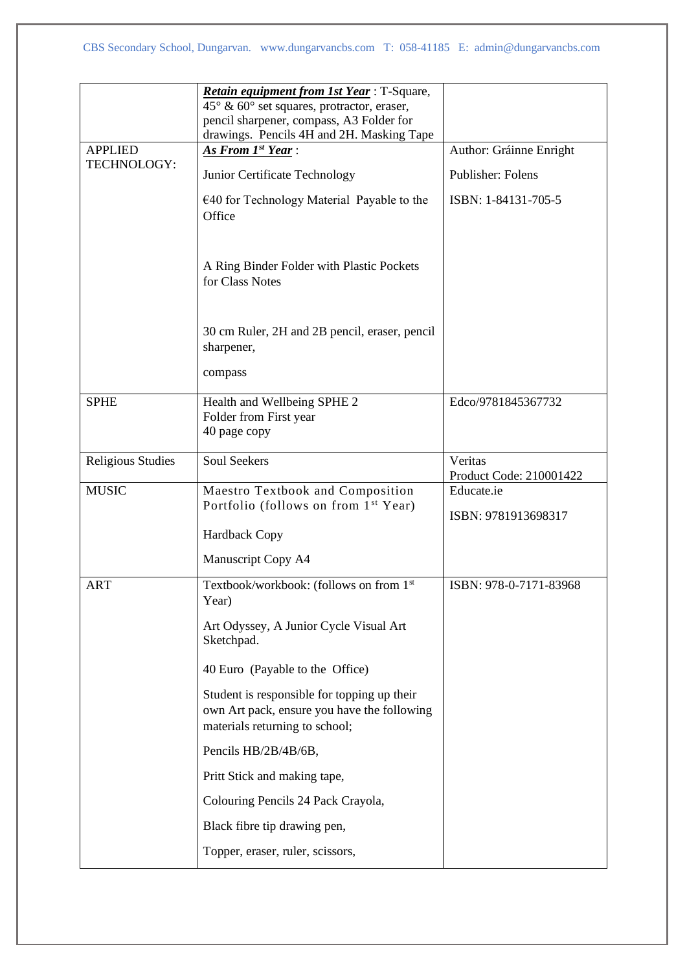|                               | Retain equipment from 1st Year: T-Square,<br>$45^{\circ}$ & 60° set squares, protractor, eraser,<br>pencil sharpener, compass, A3 Folder for<br>drawings. Pencils 4H and 2H. Masking Tape |                                          |
|-------------------------------|-------------------------------------------------------------------------------------------------------------------------------------------------------------------------------------------|------------------------------------------|
| <b>APPLIED</b><br>TECHNOLOGY: | As From 1st Year:                                                                                                                                                                         | Author: Gráinne Enright                  |
|                               | Junior Certificate Technology<br>$\epsilon$ 40 for Technology Material Payable to the<br>Office                                                                                           | Publisher: Folens<br>ISBN: 1-84131-705-5 |
|                               | A Ring Binder Folder with Plastic Pockets<br>for Class Notes                                                                                                                              |                                          |
|                               | 30 cm Ruler, 2H and 2B pencil, eraser, pencil<br>sharpener,                                                                                                                               |                                          |
|                               | compass                                                                                                                                                                                   |                                          |
| <b>SPHE</b>                   | Health and Wellbeing SPHE 2<br>Folder from First year<br>40 page copy                                                                                                                     | Edco/9781845367732                       |
| <b>Religious Studies</b>      | <b>Soul Seekers</b>                                                                                                                                                                       | Veritas<br>Product Code: 210001422       |
| <b>MUSIC</b>                  | Maestro Textbook and Composition<br>Portfolio (follows on from 1 <sup>st</sup> Year)                                                                                                      | Educate.ie<br>ISBN: 9781913698317        |
|                               | <b>Hardback Copy</b>                                                                                                                                                                      |                                          |
|                               | Manuscript Copy A4                                                                                                                                                                        |                                          |
| <b>ART</b>                    | Textbook/workbook: (follows on from 1st<br>Year)                                                                                                                                          | ISBN: 978-0-7171-83968                   |
|                               | Art Odyssey, A Junior Cycle Visual Art<br>Sketchpad.                                                                                                                                      |                                          |
|                               | 40 Euro (Payable to the Office)                                                                                                                                                           |                                          |
|                               | Student is responsible for topping up their<br>own Art pack, ensure you have the following<br>materials returning to school;                                                              |                                          |
|                               | Pencils HB/2B/4B/6B,                                                                                                                                                                      |                                          |
|                               | Pritt Stick and making tape,                                                                                                                                                              |                                          |
|                               | Colouring Pencils 24 Pack Crayola,                                                                                                                                                        |                                          |
|                               | Black fibre tip drawing pen,                                                                                                                                                              |                                          |
|                               | Topper, eraser, ruler, scissors,                                                                                                                                                          |                                          |